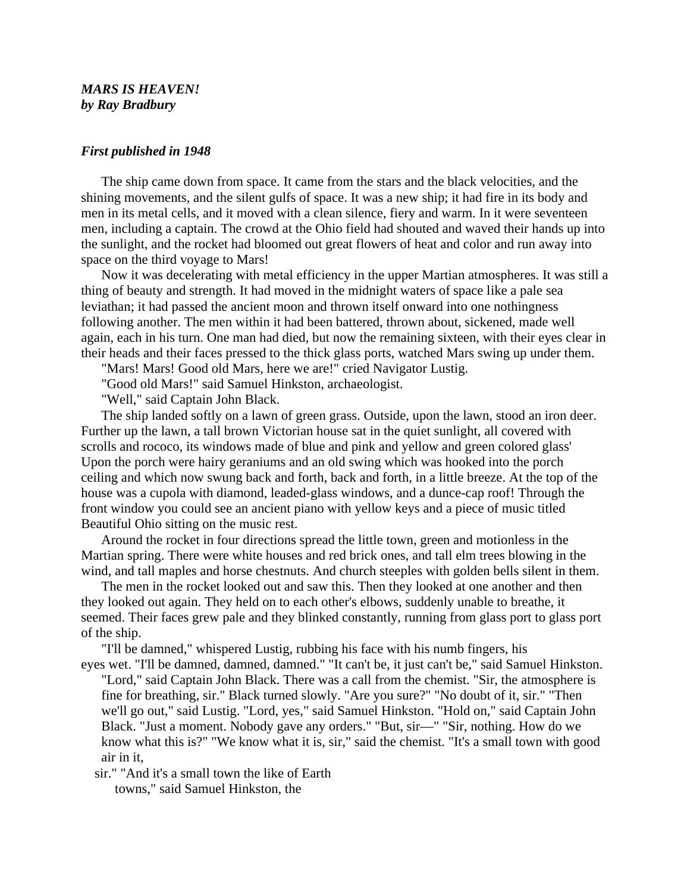## *MARS IS HEAVEN! by Ray Bradbury*

## *First published in 1948*

The ship came down from space. It came from the stars and the black velocities, and the shining movements, and the silent gulfs of space. It was a new ship; it had fire in its body and men in its metal cells, and it moved with a clean silence, fiery and warm. In it were seventeen men, including a captain. The crowd at the Ohio field had shouted and waved their hands up into the sunlight, and the rocket had bloomed out great flowers of heat and color and run away into space on the third voyage to Mars!

Now it was decelerating with metal efficiency in the upper Martian atmospheres. It was still a thing of beauty and strength. It had moved in the midnight waters of space like a pale sea leviathan; it had passed the ancient moon and thrown itself onward into one nothingness following another. The men within it had been battered, thrown about, sickened, made well again, each in his turn. One man had died, but now the remaining sixteen, with their eyes clear in their heads and their faces pressed to the thick glass ports, watched Mars swing up under them.

"Mars! Mars! Good old Mars, here we are!" cried Navigator Lustig.

"Good old Mars!" said Samuel Hinkston, archaeologist.

"Well," said Captain John Black.

The ship landed softly on a lawn of green grass. Outside, upon the lawn, stood an iron deer. Further up the lawn, a tall brown Victorian house sat in the quiet sunlight, all covered with scrolls and rococo, its windows made of blue and pink and yellow and green colored glass' Upon the porch were hairy geraniums and an old swing which was hooked into the porch ceiling and which now swung back and forth, back and forth, in a little breeze. At the top of the house was a cupola with diamond, leaded-glass windows, and a dunce-cap roof! Through the front window you could see an ancient piano with yellow keys and a piece of music titled Beautiful Ohio sitting on the music rest.

Around the rocket in four directions spread the little town, green and motionless in the Martian spring. There were white houses and red brick ones, and tall elm trees blowing in the wind, and tall maples and horse chestnuts. And church steeples with golden bells silent in them.

The men in the rocket looked out and saw this. Then they looked at one another and then they looked out again. They held on to each other's elbows, suddenly unable to breathe, it seemed. Their faces grew pale and they blinked constantly, running from glass port to glass port of the ship.

"I'll be damned," whispered Lustig, rubbing his face with his numb fingers, his eyes wet. "I'll be damned, damned, damned." "It can't be, it just can't be," said Samuel Hinkston.

"Lord," said Captain John Black. There was a call from the chemist. "Sir, the atmosphere is fine for breathing, sir." Black turned slowly. "Are you sure?" "No doubt of it, sir." "Then we'll go out," said Lustig. "Lord, yes," said Samuel Hinkston. "Hold on," said Captain John Black. "Just a moment. Nobody gave any orders." "But, sir—" "Sir, nothing. How do we know what this is?" "We know what it is, sir," said the chemist. "It's a small town with good air in it,

sir." "And it's a small town the like of Earth towns," said Samuel Hinkston, the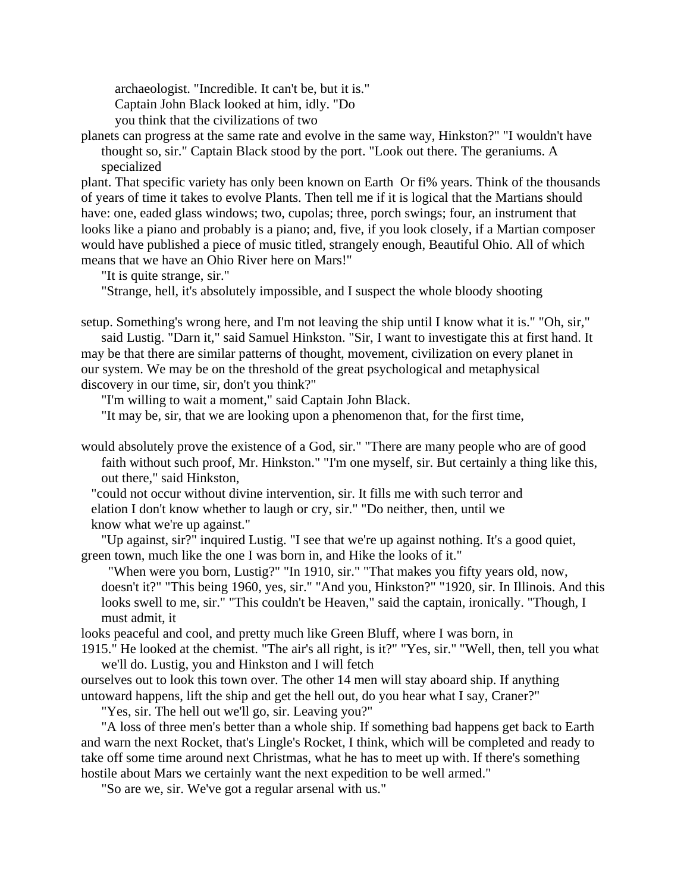archaeologist. "Incredible. It can't be, but it is."

Captain John Black looked at him, idly. "Do

you think that the civilizations of two

planets can progress at the same rate and evolve in the same way, Hinkston?" "I wouldn't have thought so, sir." Captain Black stood by the port. "Look out there. The geraniums. A specialized

plant. That specific variety has only been known on Earth Or fi% years. Think of the thousands of years of time it takes to evolve Plants. Then tell me if it is logical that the Martians should have: one, eaded glass windows; two, cupolas; three, porch swings; four, an instrument that looks like a piano and probably is a piano; and, five, if you look closely, if a Martian composer would have published a piece of music titled, strangely enough, Beautiful Ohio. All of which means that we have an Ohio River here on Mars!"

"It is quite strange, sir."

"Strange, hell, it's absolutely impossible, and I suspect the whole bloody shooting

setup. Something's wrong here, and I'm not leaving the ship until I know what it is." "Oh, sir,"

said Lustig. "Darn it," said Samuel Hinkston. "Sir, I want to investigate this at first hand. It may be that there are similar patterns of thought, movement, civilization on every planet in our system. We may be on the threshold of the great psychological and metaphysical discovery in our time, sir, don't you think?"

"I'm willing to wait a moment," said Captain John Black.

"It may be, sir, that we are looking upon a phenomenon that, for the first time,

would absolutely prove the existence of a God, sir." "There are many people who are of good faith without such proof, Mr. Hinkston." "I'm one myself, sir. But certainly a thing like this, out there," said Hinkston,

"could not occur without divine intervention, sir. It fills me with such terror and elation I don't know whether to laugh or cry, sir." "Do neither, then, until we know what we're up against."

"Up against, sir?" inquired Lustig. "I see that we're up against nothing. It's a good quiet, green town, much like the one I was born in, and Hike the looks of it."

"When were you born, Lustig?" "In 1910, sir." "That makes you fifty years old, now, doesn't it?" "This being 1960, yes, sir." "And you, Hinkston?" "1920, sir. In Illinois. And this looks swell to me, sir." "This couldn't be Heaven," said the captain, ironically. "Though, I must admit, it

looks peaceful and cool, and pretty much like Green Bluff, where I was born, in

1915." He looked at the chemist. "The air's all right, is it?" "Yes, sir." "Well, then, tell you what we'll do. Lustig, you and Hinkston and I will fetch

ourselves out to look this town over. The other 14 men will stay aboard ship. If anything untoward happens, lift the ship and get the hell out, do you hear what I say, Craner?"

"Yes, sir. The hell out we'll go, sir. Leaving you?"

"A loss of three men's better than a whole ship. If something bad happens get back to Earth and warn the next Rocket, that's Lingle's Rocket, I think, which will be completed and ready to take off some time around next Christmas, what he has to meet up with. If there's something hostile about Mars we certainly want the next expedition to be well armed."

"So are we, sir. We've got a regular arsenal with us."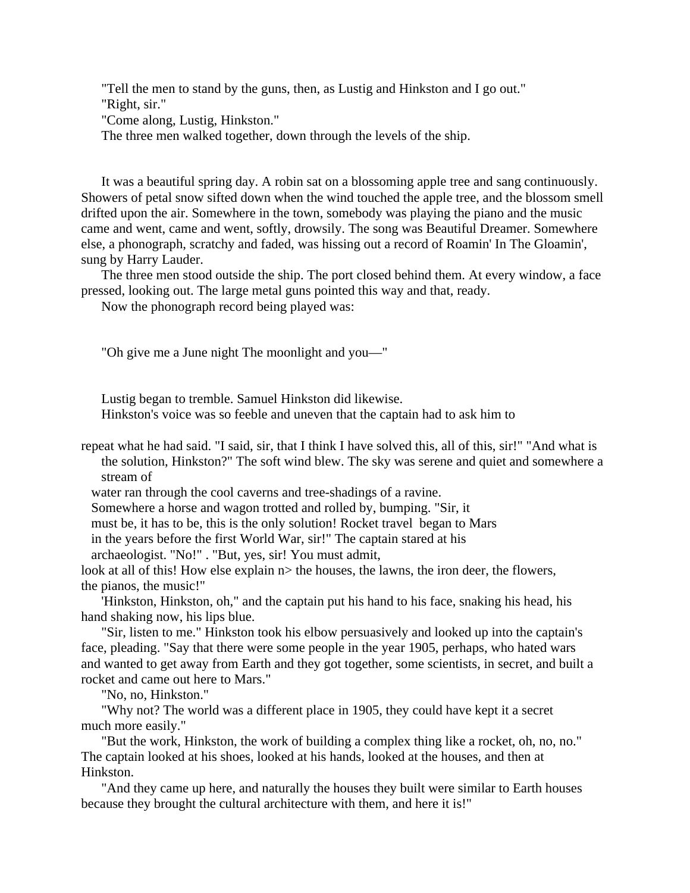"Tell the men to stand by the guns, then, as Lustig and Hinkston and I go out." "Right, sir." "Come along, Lustig, Hinkston." The three men walked together, down through the levels of the ship.

It was a beautiful spring day. A robin sat on a blossoming apple tree and sang continuously. Showers of petal snow sifted down when the wind touched the apple tree, and the blossom smell drifted upon the air. Somewhere in the town, somebody was playing the piano and the music came and went, came and went, softly, drowsily. The song was Beautiful Dreamer. Somewhere else, a phonograph, scratchy and faded, was hissing out a record of Roamin' In The Gloamin', sung by Harry Lauder.

The three men stood outside the ship. The port closed behind them. At every window, a face pressed, looking out. The large metal guns pointed this way and that, ready.

Now the phonograph record being played was:

"Oh give me a June night The moonlight and you—"

Lustig began to tremble. Samuel Hinkston did likewise. Hinkston's voice was so feeble and uneven that the captain had to ask him to

repeat what he had said. "I said, sir, that I think I have solved this, all of this, sir!" "And what is the solution, Hinkston?" The soft wind blew. The sky was serene and quiet and somewhere a stream of

water ran through the cool caverns and tree-shadings of a ravine.

Somewhere a horse and wagon trotted and rolled by, bumping. "Sir, it

must be, it has to be, this is the only solution! Rocket travel began to Mars

in the years before the first World War, sir!" The captain stared at his

archaeologist. "No!" . "But, yes, sir! You must admit,

look at all of this! How else explain n> the houses, the lawns, the iron deer, the flowers, the pianos, the music!"

'Hinkston, Hinkston, oh," and the captain put his hand to his face, snaking his head, his hand shaking now, his lips blue.

"Sir, listen to me." Hinkston took his elbow persuasively and looked up into the captain's face, pleading. "Say that there were some people in the year 1905, perhaps, who hated wars and wanted to get away from Earth and they got together, some scientists, in secret, and built a rocket and came out here to Mars."

"No, no, Hinkston."

"Why not? The world was a different place in 1905, they could have kept it a secret much more easily."

"But the work, Hinkston, the work of building a complex thing like a rocket, oh, no, no." The captain looked at his shoes, looked at his hands, looked at the houses, and then at Hinkston.

"And they came up here, and naturally the houses they built were similar to Earth houses because they brought the cultural architecture with them, and here it is!"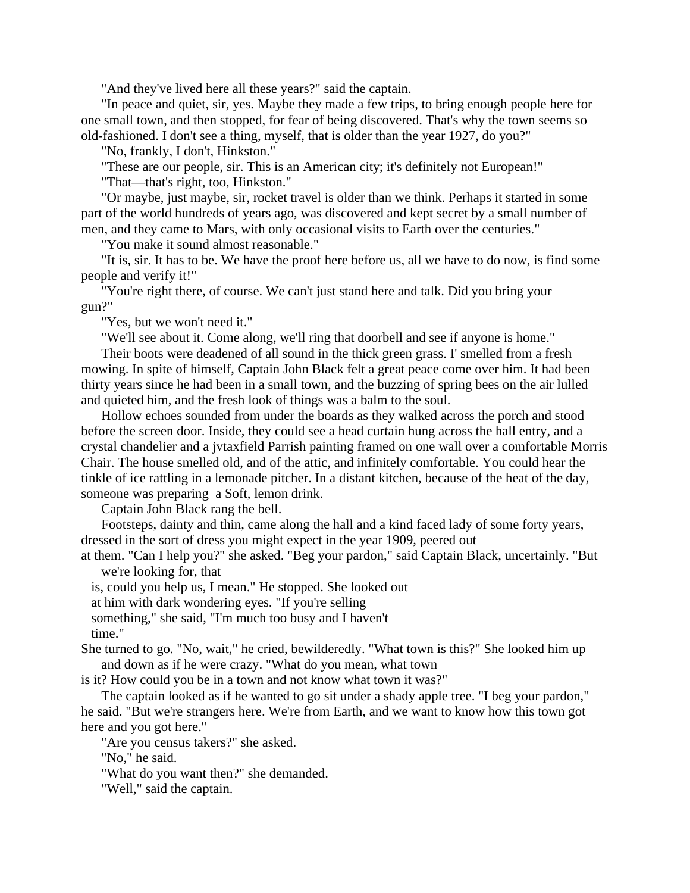"And they've lived here all these years?" said the captain.

"In peace and quiet, sir, yes. Maybe they made a few trips, to bring enough people here for one small town, and then stopped, for fear of being discovered. That's why the town seems so old-fashioned. I don't see a thing, myself, that is older than the year 1927, do you?"

"No, frankly, I don't, Hinkston."

"These are our people, sir. This is an American city; it's definitely not European!"

"That—that's right, too, Hinkston."

"Or maybe, just maybe, sir, rocket travel is older than we think. Perhaps it started in some part of the world hundreds of years ago, was discovered and kept secret by a small number of men, and they came to Mars, with only occasional visits to Earth over the centuries."

"You make it sound almost reasonable."

"It is, sir. It has to be. We have the proof here before us, all we have to do now, is find some people and verify it!"

"You're right there, of course. We can't just stand here and talk. Did you bring your gun?"

"Yes, but we won't need it."

"We'll see about it. Come along, we'll ring that doorbell and see if anyone is home."

Their boots were deadened of all sound in the thick green grass. I' smelled from a fresh mowing. In spite of himself, Captain John Black felt a great peace come over him. It had been thirty years since he had been in a small town, and the buzzing of spring bees on the air lulled and quieted him, and the fresh look of things was a balm to the soul.

Hollow echoes sounded from under the boards as they walked across the porch and stood before the screen door. Inside, they could see a head curtain hung across the hall entry, and a crystal chandelier and a jvtaxfield Parrish painting framed on one wall over a comfortable Morris Chair. The house smelled old, and of the attic, and infinitely comfortable. You could hear the tinkle of ice rattling in a lemonade pitcher. In a distant kitchen, because of the heat of the day, someone was preparing a Soft, lemon drink.

Captain John Black rang the bell.

Footsteps, dainty and thin, came along the hall and a kind faced lady of some forty years, dressed in the sort of dress you might expect in the year 1909, peered out

at them. "Can I help you?" she asked. "Beg your pardon," said Captain Black, uncertainly. "But we're looking for, that

is, could you help us, I mean." He stopped. She looked out

at him with dark wondering eyes. "If you're selling

something," she said, "I'm much too busy and I haven't time."

She turned to go. "No, wait," he cried, bewilderedly. "What town is this?" She looked him up and down as if he were crazy. "What do you mean, what town

is it? How could you be in a town and not know what town it was?"

The captain looked as if he wanted to go sit under a shady apple tree. "I beg your pardon," he said. "But we're strangers here. We're from Earth, and we want to know how this town got here and you got here.''

"Are you census takers?" she asked.

"No," he said.

"What do you want then?" she demanded.

"Well," said the captain.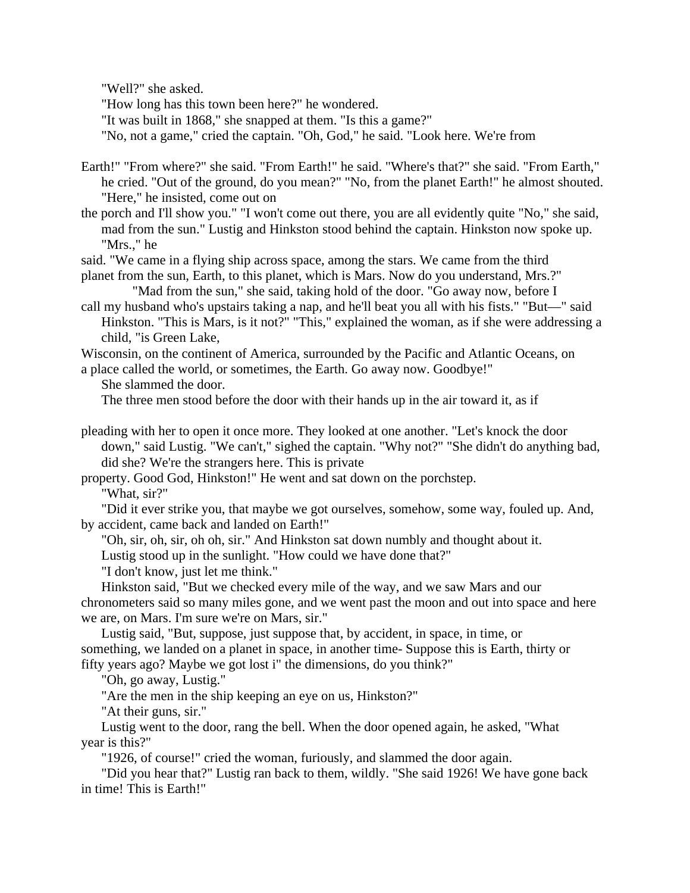"Well?" she asked.

"How long has this town been here?" he wondered.

"It was built in 1868," she snapped at them. "Is this a game?"

"No, not a game," cried the captain. "Oh, God," he said. "Look here. We're from

Earth!" "From where?" she said. "From Earth!" he said. "Where's that?" she said. "From Earth," he cried. "Out of the ground, do you mean?" "No, from the planet Earth!" he almost shouted. "Here," he insisted, come out on

the porch and I'll show you." "I won't come out there, you are all evidently quite "No," she said, mad from the sun." Lustig and Hinkston stood behind the captain. Hinkston now spoke up. "Mrs.," he

said. "We came in a flying ship across space, among the stars. We came from the third

planet from the sun, Earth, to this planet, which is Mars. Now do you understand, Mrs.?" "Mad from the sun," she said, taking hold of the door. "Go away now, before I

call my husband who's upstairs taking a nap, and he'll beat you all with his fists." "But—" said Hinkston. "This is Mars, is it not?" "This," explained the woman, as if she were addressing a child, "is Green Lake,

Wisconsin, on the continent of America, surrounded by the Pacific and Atlantic Oceans, on

a place called the world, or sometimes, the Earth. Go away now. Goodbye!"

She slammed the door.

The three men stood before the door with their hands up in the air toward it, as if

pleading with her to open it once more. They looked at one another. "Let's knock the door down," said Lustig. "We can't," sighed the captain. "Why not?" "She didn't do anything bad, did she? We're the strangers here. This is private

property. Good God, Hinkston!" He went and sat down on the porchstep.

"What, sir?"

"Did it ever strike you, that maybe we got ourselves, somehow, some way, fouled up. And, by accident, came back and landed on Earth!"

"Oh, sir, oh, sir, oh oh, sir." And Hinkston sat down numbly and thought about it.

Lustig stood up in the sunlight. "How could we have done that?"

"I don't know, just let me think."

Hinkston said, "But we checked every mile of the way, and we saw Mars and our chronometers said so many miles gone, and we went past the moon and out into space and here we are, on Mars. I'm sure we're on Mars, sir."

Lustig said, "But, suppose, just suppose that, by accident, in space, in time, or something, we landed on a planet in space, in another time- Suppose this is Earth, thirty or fifty years ago? Maybe we got lost i" the dimensions, do you think?"

"Oh, go away, Lustig."

"Are the men in the ship keeping an eye on us, Hinkston?"

"At their guns, sir."

Lustig went to the door, rang the bell. When the door opened again, he asked, "What year is this?"

"1926, of course!" cried the woman, furiously, and slammed the door again.

"Did you hear that?" Lustig ran back to them, wildly. "She said 1926! We have gone back in time! This is Earth!"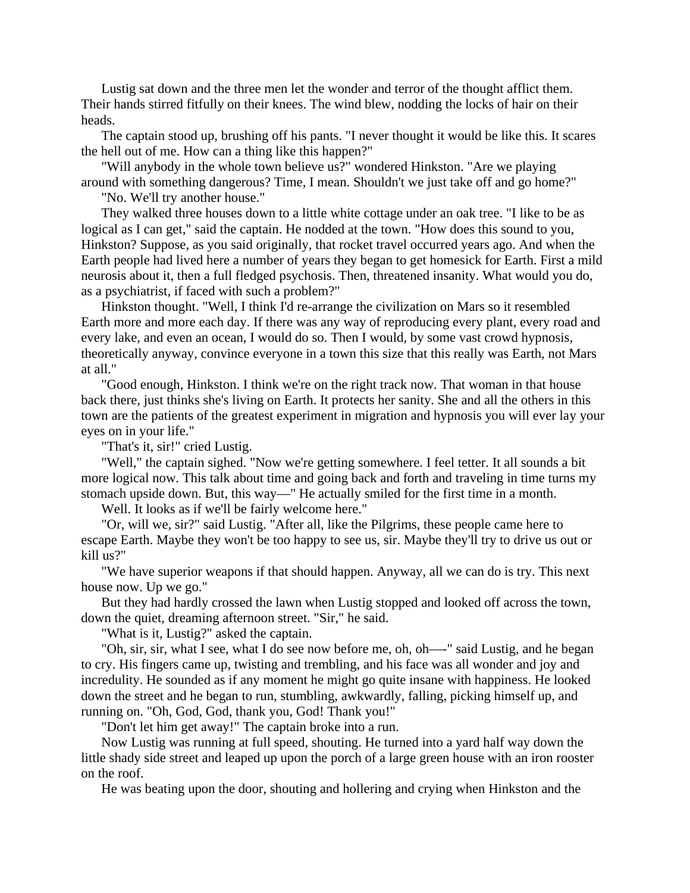Lustig sat down and the three men let the wonder and terror of the thought afflict them. Their hands stirred fitfully on their knees. The wind blew, nodding the locks of hair on their heads.

The captain stood up, brushing off his pants. "I never thought it would be like this. It scares the hell out of me. How can a thing like this happen?"

"Will anybody in the whole town believe us?" wondered Hinkston. "Are we playing around with something dangerous? Time, I mean. Shouldn't we just take off and go home?" "No. We'll try another house."

They walked three houses down to a little white cottage under an oak tree. "I like to be as logical as I can get," said the captain. He nodded at the town. "How does this sound to you, Hinkston? Suppose, as you said originally, that rocket travel occurred years ago. And when the Earth people had lived here a number of years they began to get homesick for Earth. First a mild neurosis about it, then a full fledged psychosis. Then, threatened insanity. What would you do, as a psychiatrist, if faced with such a problem?"

Hinkston thought. "Well, I think I'd re-arrange the civilization on Mars so it resembled Earth more and more each day. If there was any way of reproducing every plant, every road and every lake, and even an ocean, I would do so. Then I would, by some vast crowd hypnosis, theoretically anyway, convince everyone in a town this size that this really was Earth, not Mars at all."

"Good enough, Hinkston. I think we're on the right track now. That woman in that house back there, just thinks she's living on Earth. It protects her sanity. She and all the others in this town are the patients of the greatest experiment in migration and hypnosis you will ever lay your eyes on in your life."

"That's it, sir!" cried Lustig.

"Well," the captain sighed. "Now we're getting somewhere. I feel tetter. It all sounds a bit more logical now. This talk about time and going back and forth and traveling in time turns my stomach upside down. But, this way—" He actually smiled for the first time in a month.

Well. It looks as if we'll be fairly welcome here."

"Or, will we, sir?" said Lustig. "After all, like the Pilgrims, these people came here to escape Earth. Maybe they won't be too happy to see us, sir. Maybe they'll try to drive us out or kill us?"

"We have superior weapons if that should happen. Anyway, all we can do is try. This next house now. Up we go."

But they had hardly crossed the lawn when Lustig stopped and looked off across the town, down the quiet, dreaming afternoon street. "Sir," he said.

"What is it, Lustig?" asked the captain.

"Oh, sir, sir, what I see, what I do see now before me, oh, oh—-" said Lustig, and he began to cry. His fingers came up, twisting and trembling, and his face was all wonder and joy and incredulity. He sounded as if any moment he might go quite insane with happiness. He looked down the street and he began to run, stumbling, awkwardly, falling, picking himself up, and running on. "Oh, God, God, thank you, God! Thank you!"

"Don't let him get away!" The captain broke into a run.

Now Lustig was running at full speed, shouting. He turned into a yard half way down the little shady side street and leaped up upon the porch of a large green house with an iron rooster on the roof.

He was beating upon the door, shouting and hollering and crying when Hinkston and the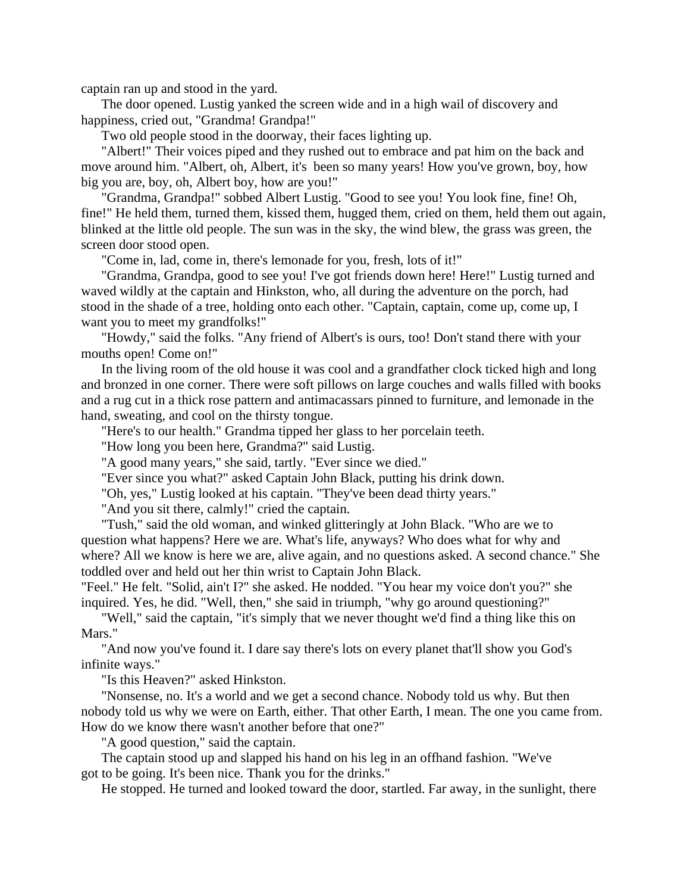captain ran up and stood in the yard.

The door opened. Lustig yanked the screen wide and in a high wail of discovery and happiness, cried out, "Grandma! Grandpa!"

Two old people stood in the doorway, their faces lighting up.

"Albert!" Their voices piped and they rushed out to embrace and pat him on the back and move around him. "Albert, oh, Albert, it's been so many years! How you've grown, boy, how big you are, boy, oh, Albert boy, how are you!"

"Grandma, Grandpa!" sobbed Albert Lustig. "Good to see you! You look fine, fine! Oh, fine!" He held them, turned them, kissed them, hugged them, cried on them, held them out again, blinked at the little old people. The sun was in the sky, the wind blew, the grass was green, the screen door stood open.

"Come in, lad, come in, there's lemonade for you, fresh, lots of it!"

"Grandma, Grandpa, good to see you! I've got friends down here! Here!" Lustig turned and waved wildly at the captain and Hinkston, who, all during the adventure on the porch, had stood in the shade of a tree, holding onto each other. "Captain, captain, come up, come up, I want you to meet my grandfolks!"

"Howdy," said the folks. "Any friend of Albert's is ours, too! Don't stand there with your mouths open! Come on!"

In the living room of the old house it was cool and a grandfather clock ticked high and long and bronzed in one corner. There were soft pillows on large couches and walls filled with books and a rug cut in a thick rose pattern and antimacassars pinned to furniture, and lemonade in the hand, sweating, and cool on the thirsty tongue.

"Here's to our health." Grandma tipped her glass to her porcelain teeth.

"How long you been here, Grandma?" said Lustig.

"A good many years," she said, tartly. "Ever since we died."

"Ever since you what?" asked Captain John Black, putting his drink down.

"Oh, yes," Lustig looked at his captain. "They've been dead thirty years."

"And you sit there, calmly!" cried the captain.

"Tush," said the old woman, and winked glitteringly at John Black. "Who are we to question what happens? Here we are. What's life, anyways? Who does what for why and where? All we know is here we are, alive again, and no questions asked. A second chance." She toddled over and held out her thin wrist to Captain John Black.

"Feel." He felt. "Solid, ain't I?" she asked. He nodded. "You hear my voice don't you?" she inquired. Yes, he did. "Well, then," she said in triumph, "why go around questioning?"

"Well," said the captain, "it's simply that we never thought we'd find a thing like this on Mars."

"And now you've found it. I dare say there's lots on every planet that'll show you God's infinite ways."

"Is this Heaven?" asked Hinkston.

"Nonsense, no. It's a world and we get a second chance. Nobody told us why. But then nobody told us why we were on Earth, either. That other Earth, I mean. The one you came from. How do we know there wasn't another before that one?"

"A good question," said the captain.

The captain stood up and slapped his hand on his leg in an offhand fashion. "We've got to be going. It's been nice. Thank you for the drinks."

He stopped. He turned and looked toward the door, startled. Far away, in the sunlight, there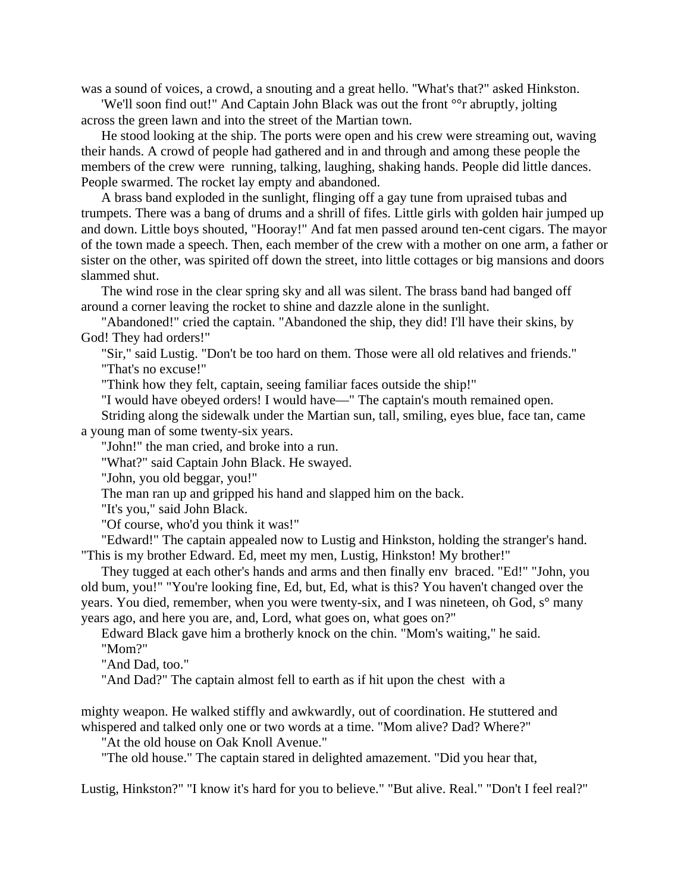was a sound of voices, a crowd, a snouting and a great hello. ''What's that?" asked Hinkston.

'We'll soon find out!" And Captain John Black was out the front °°r abruptly, jolting across the green lawn and into the street of the Martian town.

He stood looking at the ship. The ports were open and his crew were streaming out, waving their hands. A crowd of people had gathered and in and through and among these people the members of the crew were running, talking, laughing, shaking hands. People did little dances. People swarmed. The rocket lay empty and abandoned.

A brass band exploded in the sunlight, flinging off a gay tune from upraised tubas and trumpets. There was a bang of drums and a shrill of fifes. Little girls with golden hair jumped up and down. Little boys shouted, "Hooray!" And fat men passed around ten-cent cigars. The mayor of the town made a speech. Then, each member of the crew with a mother on one arm, a father or sister on the other, was spirited off down the street, into little cottages or big mansions and doors slammed shut.

The wind rose in the clear spring sky and all was silent. The brass band had banged off around a corner leaving the rocket to shine and dazzle alone in the sunlight.

"Abandoned!" cried the captain. "Abandoned the ship, they did! I'll have their skins, by God! They had orders!"

"Sir," said Lustig. "Don't be too hard on them. Those were all old relatives and friends." "That's no excuse!"

"Think how they felt, captain, seeing familiar faces outside the ship!"

"I would have obeyed orders! I would have—" The captain's mouth remained open.

Striding along the sidewalk under the Martian sun, tall, smiling, eyes blue, face tan, came a young man of some twenty-six years.

"John!" the man cried, and broke into a run.

"What?" said Captain John Black. He swayed.

"John, you old beggar, you!"

The man ran up and gripped his hand and slapped him on the back.

"It's you," said John Black.

"Of course, who'd you think it was!"

"Edward!" The captain appealed now to Lustig and Hinkston, holding the stranger's hand. "This is my brother Edward. Ed, meet my men, Lustig, Hinkston! My brother!"

They tugged at each other's hands and arms and then finally env braced. "Ed!" "John, you old bum, you!" "You're looking fine, Ed, but, Ed, what is this? You haven't changed over the years. You died, remember, when you were twenty-six, and I was nineteen, oh God, s° many years ago, and here you are, and, Lord, what goes on, what goes on?"

Edward Black gave him a brotherly knock on the chin. "Mom's waiting," he said. "Mom?"

"And Dad, too."

"And Dad?" The captain almost fell to earth as if hit upon the chest with a

mighty weapon. He walked stiffly and awkwardly, out of coordination. He stuttered and whispered and talked only one or two words at a time. "Mom alive? Dad? Where?"

"At the old house on Oak Knoll Avenue."

"The old house." The captain stared in delighted amazement. "Did you hear that,

Lustig, Hinkston?" "I know it's hard for you to believe." "But alive. Real." "Don't I feel real?"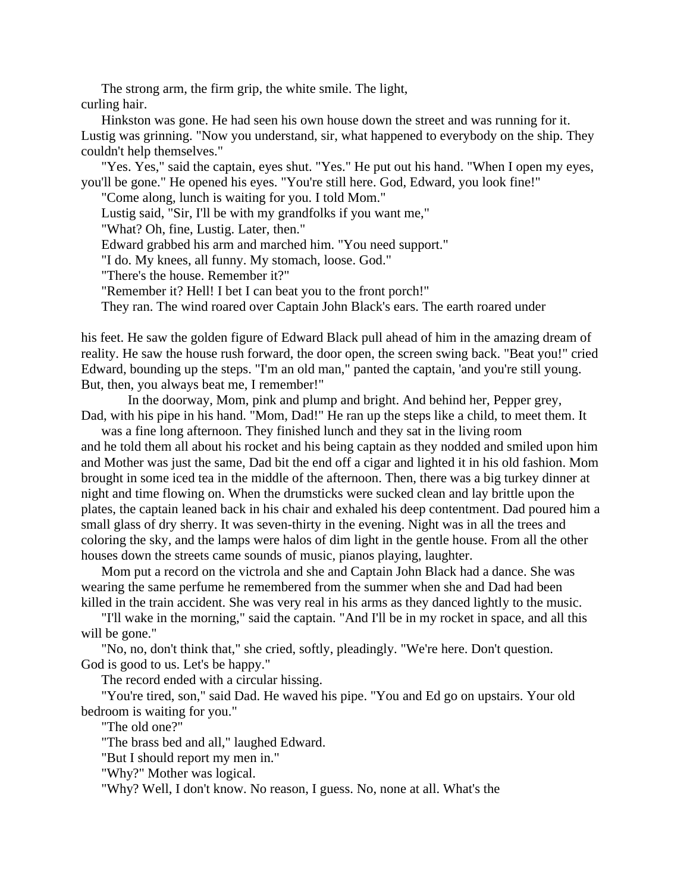The strong arm, the firm grip, the white smile. The light, curling hair.

Hinkston was gone. He had seen his own house down the street and was running for it. Lustig was grinning. "Now you understand, sir, what happened to everybody on the ship. They couldn't help themselves."

"Yes. Yes," said the captain, eyes shut. "Yes." He put out his hand. "When I open my eyes, you'll be gone." He opened his eyes. "You're still here. God, Edward, you look fine!"

"Come along, lunch is waiting for you. I told Mom."

Lustig said, "Sir, I'll be with my grandfolks if you want me,"

"What? Oh, fine, Lustig. Later, then."

Edward grabbed his arm and marched him. "You need support."

"I do. My knees, all funny. My stomach, loose. God."

"There's the house. Remember it?"

"Remember it? Hell! I bet I can beat you to the front porch!"

They ran. The wind roared over Captain John Black's ears. The earth roared under

his feet. He saw the golden figure of Edward Black pull ahead of him in the amazing dream of reality. He saw the house rush forward, the door open, the screen swing back. "Beat you!" cried Edward, bounding up the steps. "I'm an old man," panted the captain, 'and you're still young. But, then, you always beat me, I remember!"

In the doorway, Mom, pink and plump and bright. And behind her, Pepper grey, Dad, with his pipe in his hand. "Mom, Dad!" He ran up the steps like a child, to meet them. It

was a fine long afternoon. They finished lunch and they sat in the living room and he told them all about his rocket and his being captain as they nodded and smiled upon him and Mother was just the same, Dad bit the end off a cigar and lighted it in his old fashion. Mom brought in some iced tea in the middle of the afternoon. Then, there was a big turkey dinner at night and time flowing on. When the drumsticks were sucked clean and lay brittle upon the plates, the captain leaned back in his chair and exhaled his deep contentment. Dad poured him a small glass of dry sherry. It was seven-thirty in the evening. Night was in all the trees and coloring the sky, and the lamps were halos of dim light in the gentle house. From all the other houses down the streets came sounds of music, pianos playing, laughter.

Mom put a record on the victrola and she and Captain John Black had a dance. She was wearing the same perfume he remembered from the summer when she and Dad had been killed in the train accident. She was very real in his arms as they danced lightly to the music.

"I'll wake in the morning," said the captain. "And I'll be in my rocket in space, and all this will be gone."

"No, no, don't think that," she cried, softly, pleadingly. "We're here. Don't question. God is good to us. Let's be happy."

The record ended with a circular hissing.

"You're tired, son," said Dad. He waved his pipe. "You and Ed go on upstairs. Your old bedroom is waiting for you."

"The old one?"

"The brass bed and all," laughed Edward.

"But I should report my men in."

"Why?" Mother was logical.

"Why? Well, I don't know. No reason, I guess. No, none at all. What's the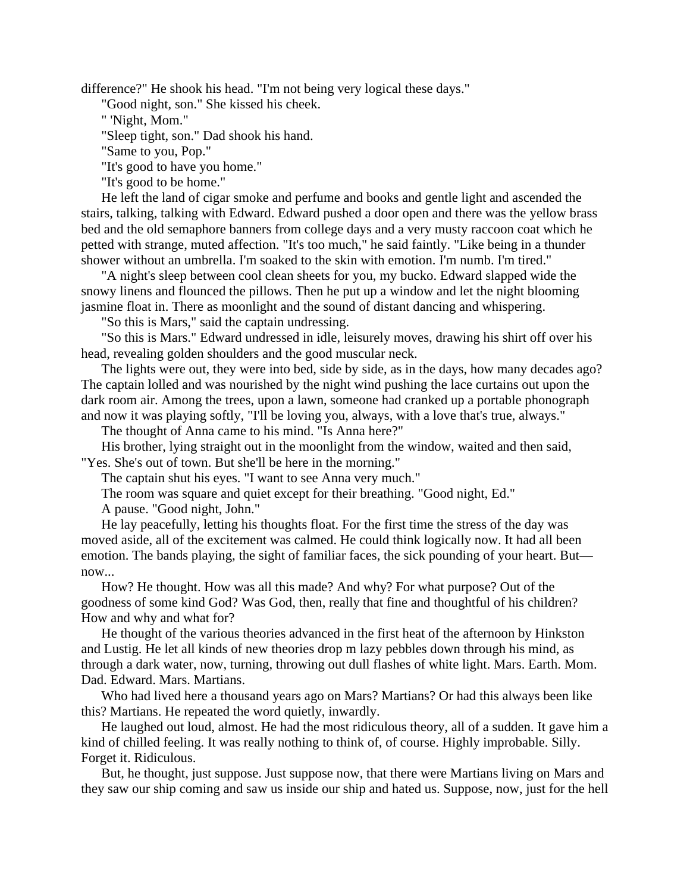difference?" He shook his head. "I'm not being very logical these days."

"Good night, son." She kissed his cheek.

" 'Night, Mom."

"Sleep tight, son." Dad shook his hand.

"Same to you, Pop."

"It's good to have you home."

"It's good to be home."

He left the land of cigar smoke and perfume and books and gentle light and ascended the stairs, talking, talking with Edward. Edward pushed a door open and there was the yellow brass bed and the old semaphore banners from college days and a very musty raccoon coat which he petted with strange, muted affection. "It's too much," he said faintly. "Like being in a thunder shower without an umbrella. I'm soaked to the skin with emotion. I'm numb. I'm tired."

"A night's sleep between cool clean sheets for you, my bucko. Edward slapped wide the snowy linens and flounced the pillows. Then he put up a window and let the night blooming jasmine float in. There as moonlight and the sound of distant dancing and whispering.

"So this is Mars," said the captain undressing.

"So this is Mars." Edward undressed in idle, leisurely moves, drawing his shirt off over his head, revealing golden shoulders and the good muscular neck.

The lights were out, they were into bed, side by side, as in the days, how many decades ago? The captain lolled and was nourished by the night wind pushing the lace curtains out upon the dark room air. Among the trees, upon a lawn, someone had cranked up a portable phonograph and now it was playing softly, "I'll be loving you, always, with a love that's true, always."

The thought of Anna came to his mind. "Is Anna here?"

His brother, lying straight out in the moonlight from the window, waited and then said, "Yes. She's out of town. But she'll be here in the morning."

The captain shut his eyes. "I want to see Anna very much."

The room was square and quiet except for their breathing. "Good night, Ed."

A pause. "Good night, John."

He lay peacefully, letting his thoughts float. For the first time the stress of the day was moved aside, all of the excitement was calmed. He could think logically now. It had all been emotion. The bands playing, the sight of familiar faces, the sick pounding of your heart. But now...

How? He thought. How was all this made? And why? For what purpose? Out of the goodness of some kind God? Was God, then, really that fine and thoughtful of his children? How and why and what for?

He thought of the various theories advanced in the first heat of the afternoon by Hinkston and Lustig. He let all kinds of new theories drop m lazy pebbles down through his mind, as through a dark water, now, turning, throwing out dull flashes of white light. Mars. Earth. Mom. Dad. Edward. Mars. Martians.

Who had lived here a thousand years ago on Mars? Martians? Or had this always been like this? Martians. He repeated the word quietly, inwardly.

He laughed out loud, almost. He had the most ridiculous theory, all of a sudden. It gave him a kind of chilled feeling. It was really nothing to think of, of course. Highly improbable. Silly. Forget it. Ridiculous.

But, he thought, just suppose. Just suppose now, that there were Martians living on Mars and they saw our ship coming and saw us inside our ship and hated us. Suppose, now, just for the hell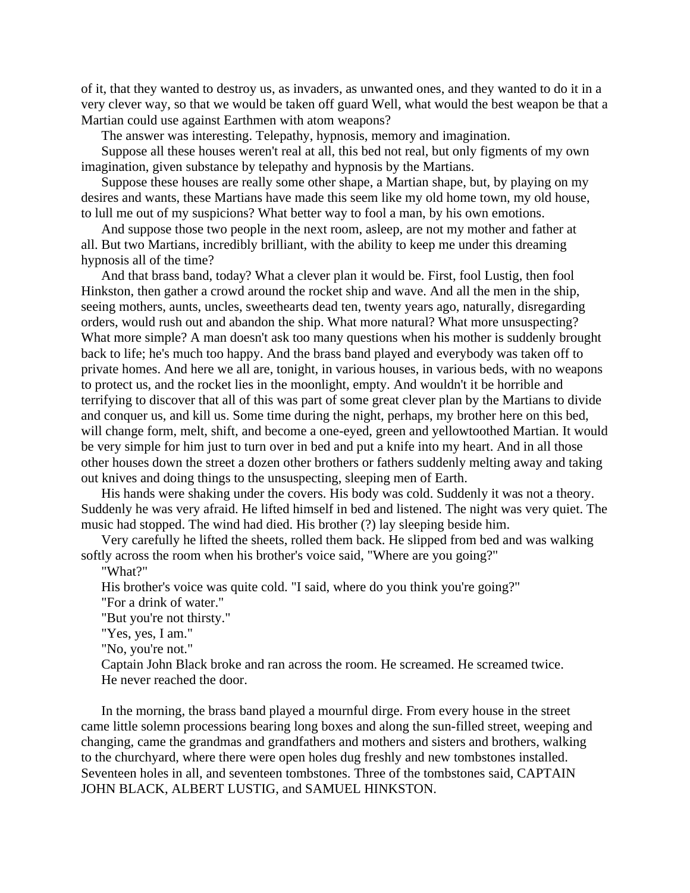of it, that they wanted to destroy us, as invaders, as unwanted ones, and they wanted to do it in a very clever way, so that we would be taken off guard Well, what would the best weapon be that a Martian could use against Earthmen with atom weapons?

The answer was interesting. Telepathy, hypnosis, memory and imagination.

Suppose all these houses weren't real at all, this bed not real, but only figments of my own imagination, given substance by telepathy and hypnosis by the Martians.

Suppose these houses are really some other shape, a Martian shape, but, by playing on my desires and wants, these Martians have made this seem like my old home town, my old house, to lull me out of my suspicions? What better way to fool a man, by his own emotions.

And suppose those two people in the next room, asleep, are not my mother and father at all. But two Martians, incredibly brilliant, with the ability to keep me under this dreaming hypnosis all of the time?

And that brass band, today? What a clever plan it would be. First, fool Lustig, then fool Hinkston, then gather a crowd around the rocket ship and wave. And all the men in the ship, seeing mothers, aunts, uncles, sweethearts dead ten, twenty years ago, naturally, disregarding orders, would rush out and abandon the ship. What more natural? What more unsuspecting? What more simple? A man doesn't ask too many questions when his mother is suddenly brought back to life; he's much too happy. And the brass band played and everybody was taken off to private homes. And here we all are, tonight, in various houses, in various beds, with no weapons to protect us, and the rocket lies in the moonlight, empty. And wouldn't it be horrible and terrifying to discover that all of this was part of some great clever plan by the Martians to divide and conquer us, and kill us. Some time during the night, perhaps, my brother here on this bed, will change form, melt, shift, and become a one-eyed, green and yellowtoothed Martian. It would be very simple for him just to turn over in bed and put a knife into my heart. And in all those other houses down the street a dozen other brothers or fathers suddenly melting away and taking out knives and doing things to the unsuspecting, sleeping men of Earth.

His hands were shaking under the covers. His body was cold. Suddenly it was not a theory. Suddenly he was very afraid. He lifted himself in bed and listened. The night was very quiet. The music had stopped. The wind had died. His brother (?) lay sleeping beside him.

Very carefully he lifted the sheets, rolled them back. He slipped from bed and was walking softly across the room when his brother's voice said, "Where are you going?"

"What?"

His brother's voice was quite cold. "I said, where do you think you're going?"

"For a drink of water."

"But you're not thirsty."

"Yes, yes, I am."

"No, you're not."

Captain John Black broke and ran across the room. He screamed. He screamed twice. He never reached the door.

In the morning, the brass band played a mournful dirge. From every house in the street came little solemn processions bearing long boxes and along the sun-filled street, weeping and changing, came the grandmas and grandfathers and mothers and sisters and brothers, walking to the churchyard, where there were open holes dug freshly and new tombstones installed. Seventeen holes in all, and seventeen tombstones. Three of the tombstones said, CAPTAIN JOHN BLACK, ALBERT LUSTIG, and SAMUEL HINKSTON.